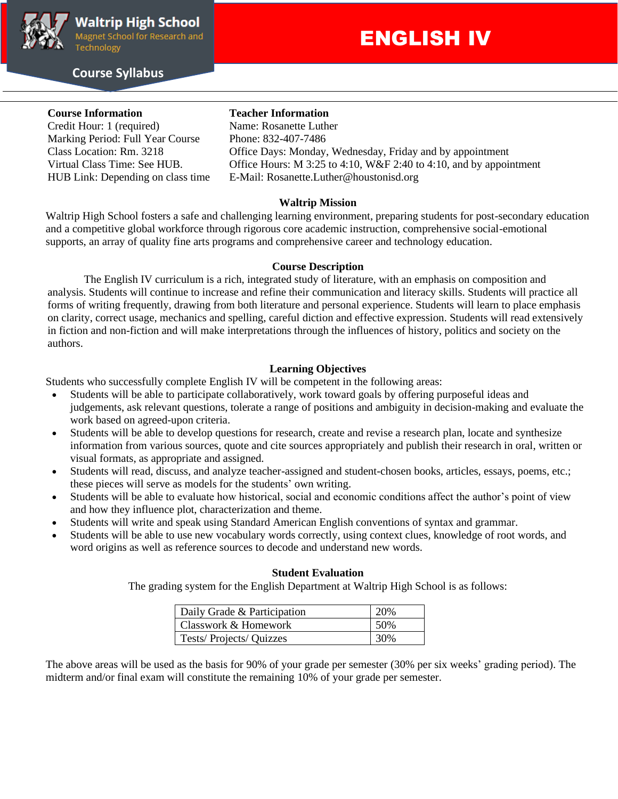

#### **Course Syllabus**

# ENGLISH IV

### **Course Information Teacher Information**

Credit Hour: 1 (required) Name: Rosanette Luther Marking Period: Full Year Course Phone: 832-407-7486

Class Location: Rm. 3218 Office Days: Monday, Wednesday, Friday and by appointment Virtual Class Time: See HUB. Office Hours: M 3:25 to 4:10, W&F 2:40 to 4:10, and by appointment HUB Link: Depending on class time E-Mail: Rosanette.Luther@houstonisd.org

#### **Waltrip Mission**

Waltrip High School fosters a safe and challenging learning environment, preparing students for post-secondary education and a competitive global workforce through rigorous core academic instruction, comprehensive social-emotional supports, an array of quality fine arts programs and comprehensive career and technology education.

#### **Course Description**

The English IV curriculum is a rich, integrated study of literature, with an emphasis on composition and analysis. Students will continue to increase and refine their communication and literacy skills. Students will practice all forms of writing frequently, drawing from both literature and personal experience. Students will learn to place emphasis on clarity, correct usage, mechanics and spelling, careful diction and effective expression. Students will read extensively in fiction and non-fiction and will make interpretations through the influences of history, politics and society on the authors.

#### **Learning Objectives**

Students who successfully complete English IV will be competent in the following areas:

- Students will be able to participate collaboratively, work toward goals by offering purposeful ideas and judgements, ask relevant questions, tolerate a range of positions and ambiguity in decision-making and evaluate the work based on agreed-upon criteria.
- Students will be able to develop questions for research, create and revise a research plan, locate and synthesize information from various sources, quote and cite sources appropriately and publish their research in oral, written or visual formats, as appropriate and assigned.
- Students will read, discuss, and analyze teacher-assigned and student-chosen books, articles, essays, poems, etc.; these pieces will serve as models for the students' own writing.
- Students will be able to evaluate how historical, social and economic conditions affect the author's point of view and how they influence plot, characterization and theme.
- Students will write and speak using Standard American English conventions of syntax and grammar.
- Students will be able to use new vocabulary words correctly, using context clues, knowledge of root words, and word origins as well as reference sources to decode and understand new words.

#### **Student Evaluation**

The grading system for the English Department at Waltrip High School is as follows:

| Daily Grade & Participation | 20% |
|-----------------------------|-----|
| Classwork & Homework        | 50% |
| Tests/Projects/Quizzes      | 30% |

The above areas will be used as the basis for 90% of your grade per semester (30% per six weeks' grading period). The midterm and/or final exam will constitute the remaining 10% of your grade per semester.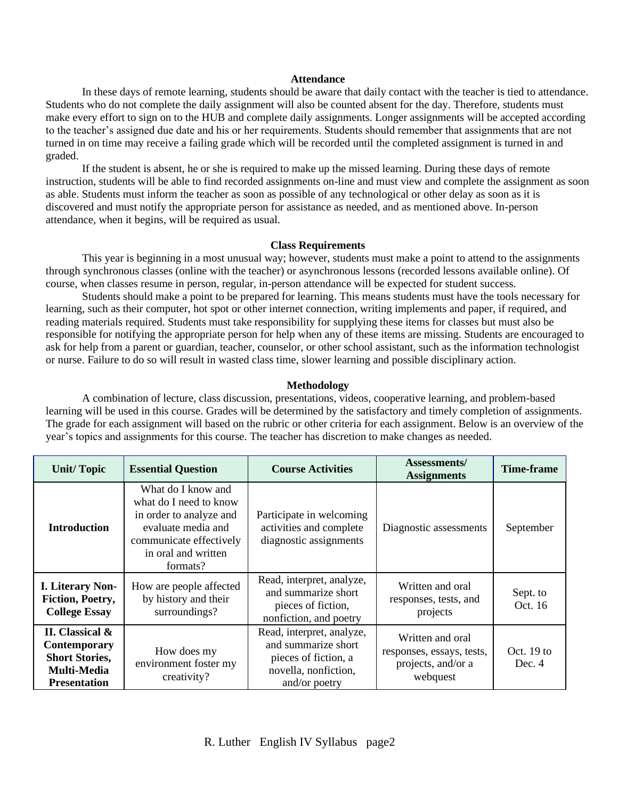#### **Attendance**

In these days of remote learning, students should be aware that daily contact with the teacher is tied to attendance. Students who do not complete the daily assignment will also be counted absent for the day. Therefore, students must make every effort to sign on to the HUB and complete daily assignments. Longer assignments will be accepted according to the teacher's assigned due date and his or her requirements. Students should remember that assignments that are not turned in on time may receive a failing grade which will be recorded until the completed assignment is turned in and graded.

If the student is absent, he or she is required to make up the missed learning. During these days of remote instruction, students will be able to find recorded assignments on-line and must view and complete the assignment as soon as able. Students must inform the teacher as soon as possible of any technological or other delay as soon as it is discovered and must notify the appropriate person for assistance as needed, and as mentioned above. In-person attendance, when it begins, will be required as usual.

#### **Class Requirements**

This year is beginning in a most unusual way; however, students must make a point to attend to the assignments through synchronous classes (online with the teacher) or asynchronous lessons (recorded lessons available online). Of course, when classes resume in person, regular, in-person attendance will be expected for student success.

Students should make a point to be prepared for learning. This means students must have the tools necessary for learning, such as their computer, hot spot or other internet connection, writing implements and paper, if required, and reading materials required. Students must take responsibility for supplying these items for classes but must also be responsible for notifying the appropriate person for help when any of these items are missing. Students are encouraged to ask for help from a parent or guardian, teacher, counselor, or other school assistant, such as the information technologist or nurse. Failure to do so will result in wasted class time, slower learning and possible disciplinary action.

#### **Methodology**

A combination of lecture, class discussion, presentations, videos, cooperative learning, and problem-based learning will be used in this course. Grades will be determined by the satisfactory and timely completion of assignments. The grade for each assignment will based on the rubric or other criteria for each assignment. Below is an overview of the year's topics and assignments for this course. The teacher has discretion to make changes as needed.

| <b>Unit/Topic</b>                                                                                     | <b>Essential Question</b>                                                                                                                                   | <b>Course Activities</b>                                                                                          | Assessments/<br><b>Assignments</b>                                              | <b>Time-frame</b>      |
|-------------------------------------------------------------------------------------------------------|-------------------------------------------------------------------------------------------------------------------------------------------------------------|-------------------------------------------------------------------------------------------------------------------|---------------------------------------------------------------------------------|------------------------|
| <b>Introduction</b>                                                                                   | What do I know and<br>what do I need to know<br>in order to analyze and<br>evaluate media and<br>communicate effectively<br>in oral and written<br>formats? | Participate in welcoming<br>activities and complete<br>diagnostic assignments                                     | Diagnostic assessments                                                          | September              |
| <b>I. Literary Non-</b><br>Fiction, Poetry,<br><b>College Essay</b>                                   | How are people affected<br>by history and their<br>surroundings?                                                                                            | Read, interpret, analyze,<br>and summarize short<br>pieces of fiction,<br>nonfiction, and poetry                  | Written and oral<br>responses, tests, and<br>projects                           | Sept. to<br>Oct. 16    |
| II. Classical &<br><b>Contemporary</b><br><b>Short Stories,</b><br>Multi-Media<br><b>Presentation</b> | How does my<br>environment foster my<br>creativity?                                                                                                         | Read, interpret, analyze,<br>and summarize short<br>pieces of fiction, a<br>novella, nonfiction,<br>and/or poetry | Written and oral<br>responses, essays, tests,<br>projects, and/or a<br>webquest | Oct. $19$ to<br>Dec. 4 |